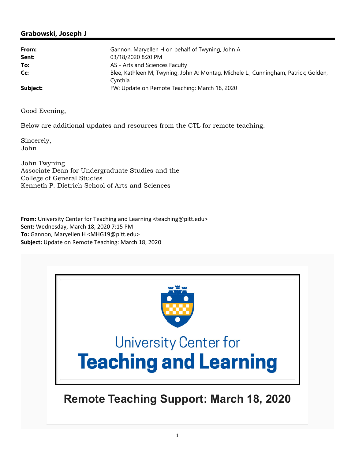### **Grabowski, Joseph J**

| From:    | Gannon, Maryellen H on behalf of Twyning, John A                                    |
|----------|-------------------------------------------------------------------------------------|
| Sent:    | 03/18/2020 8:20 PM                                                                  |
| To:      | AS - Arts and Sciences Faculty                                                      |
| Cc:      | Blee, Kathleen M; Twyning, John A; Montag, Michele L.; Cunningham, Patrick; Golden, |
|          | Cynthia                                                                             |
| Subject: | FW: Update on Remote Teaching: March 18, 2020                                       |

Good Evening,

Below are additional updates and resources from the CTL for remote teaching.

Sincerely, John

John Twyning Associate Dean for Undergraduate Studies and the College of General Studies Kenneth P. Dietrich School of Arts and Sciences

**From:** University Center for Teaching and Learning <teaching@pitt.edu> **Sent:** Wednesday, March 18, 2020 7:15 PM **To:** Gannon, Maryellen H <MHG19@pitt.edu> **Subject:** Update on Remote Teaching: March 18, 2020



# **Remote Teaching Support: March 18, 2020**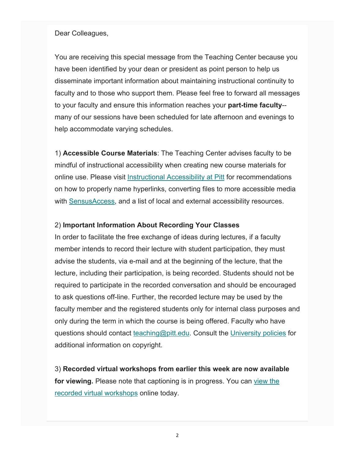#### Dear Colleagues,

You are receiving this special message from the Teaching Center because you have been identified by your dean or president as point person to help us disseminate important information about maintaining instructional continuity to faculty and to those who support them. Please feel free to forward all messages to your faculty and ensure this information reaches your **part-time faculty**- many of our sessions have been scheduled for late afternoon and evenings to help accommodate varying schedules.

1) **Accessible Course Materials**: The Teaching Center advises faculty to be mindful of instructional accessibility when creating new course materials for online use. Please visit Instructional Accessibility at Pitt for recommendations on how to properly name hyperlinks, converting files to more accessible media with SensusAccess, and a list of local and external accessibility resources.

#### 2) **Important Information About Recording Your Classes**

In order to facilitate the free exchange of ideas during lectures, if a faculty member intends to record their lecture with student participation, they must advise the students, via e-mail and at the beginning of the lecture, that the lecture, including their participation, is being recorded. Students should not be required to participate in the recorded conversation and should be encouraged to ask questions off-line. Further, the recorded lecture may be used by the faculty member and the registered students only for internal class purposes and only during the term in which the course is being offered. Faculty who have questions should contact teaching@pitt.edu. Consult the University policies for additional information on copyright.

3) **Recorded virtual workshops from earlier this week are now available for viewing.** Please note that captioning is in progress. You can view the recorded virtual workshops online today.

2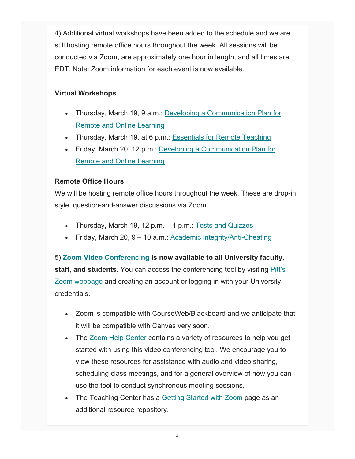4) Additional virtual workshops have been added to the schedule and we are still hosting remote office hours throughout the week. All sessions will be conducted via Zoom, are approximately one hour in length, and all times are EDT. Note: Zoom information for each event is now available.

## **Virtual Workshops**

- Thursday, March 19, 9 a.m.: Developing a Communication Plan for Remote and Online Learning
- Thursday, March 19, at 6 p.m.: Essentials for Remote Teaching
- Friday, March 20, 12 p.m.: Developing a Communication Plan for Remote and Online Learning

## **Remote Office Hours**

We will be hosting remote office hours throughout the week. These are drop-in style, question-and-answer discussions via Zoom.

- Thursday, March 19, 12 p.m. 1 p.m.: Tests and Quizzes
- Friday, March 20, 9 10 a.m.: Academic Integrity/Anti-Cheating

5) **Zoom Video Conferencing is now available to all University faculty, staff, and students.** You can access the conferencing tool by visiting Pitt's Zoom webpage and creating an account or logging in with your University credentials.

- Zoom is compatible with CourseWeb/Blackboard and we anticipate that it will be compatible with Canvas very soon.
- The Zoom Help Center contains a variety of resources to help you get started with using this video conferencing tool. We encourage you to view these resources for assistance with audio and video sharing, scheduling class meetings, and for a general overview of how you can use the tool to conduct synchronous meeting sessions.
- The Teaching Center has a Getting Started with Zoom page as an additional resource repository.